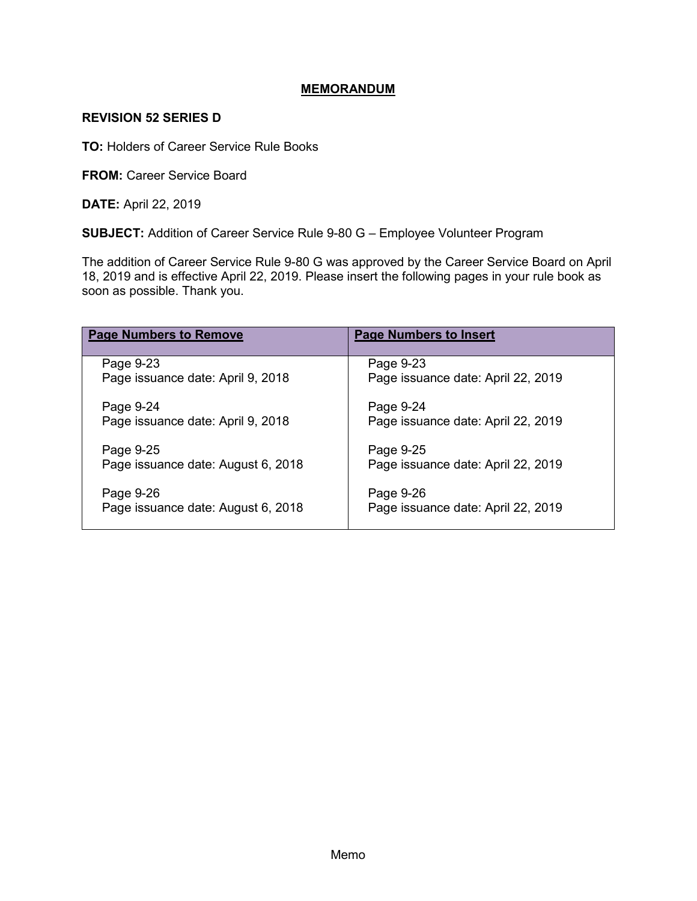### **MEMORANDUM**

### **REVISION 52 SERIES D**

**TO:** Holders of Career Service Rule Books

**FROM: Career Service Board** 

**DATE:** April 22, 2019

**SUBJECT:** Addition of Career Service Rule 9-80 G – Employee Volunteer Program

The addition of Career Service Rule 9-80 G was approved by the Career Service Board on April 18, 2019 and is effective April 22, 2019. Please insert the following pages in your rule book as soon as possible. Thank you.

| <b>Page Numbers to Remove</b>      | <b>Page Numbers to Insert</b>      |
|------------------------------------|------------------------------------|
| Page 9-23                          | Page 9-23                          |
| Page issuance date: April 9, 2018  | Page issuance date: April 22, 2019 |
| Page 9-24                          | Page 9-24                          |
| Page issuance date: April 9, 2018  | Page issuance date: April 22, 2019 |
| Page 9-25                          | Page 9-25                          |
| Page issuance date: August 6, 2018 | Page issuance date: April 22, 2019 |
| Page 9-26                          | Page 9-26                          |
| Page issuance date: August 6, 2018 | Page issuance date: April 22, 2019 |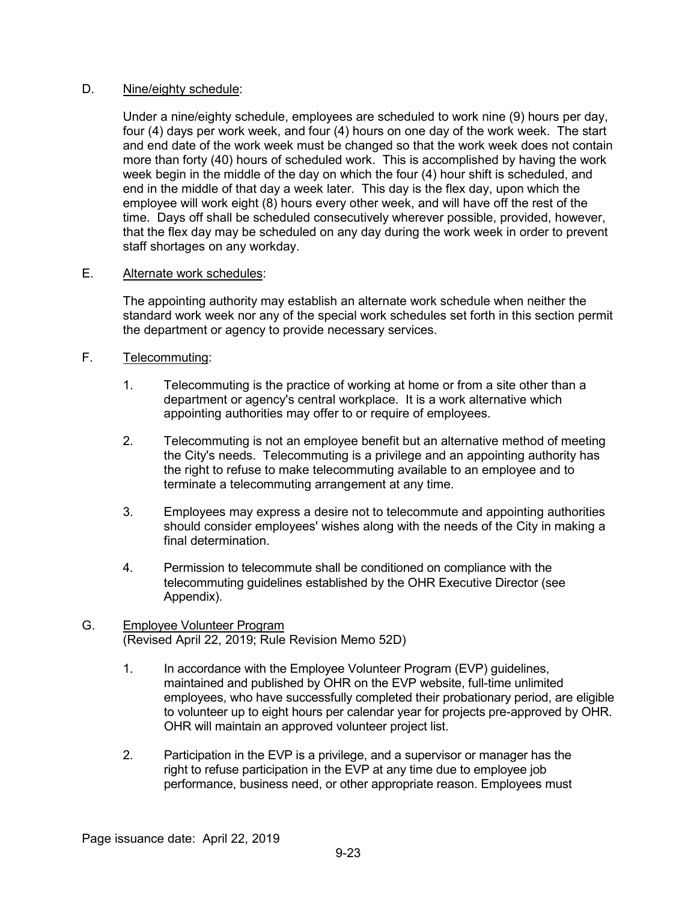### D. Nine/eighty schedule:

Under a nine/eighty schedule, employees are scheduled to work nine (9) hours per day, four (4) days per work week, and four (4) hours on one day of the work week. The start and end date of the work week must be changed so that the work week does not contain more than forty (40) hours of scheduled work. This is accomplished by having the work week begin in the middle of the day on which the four (4) hour shift is scheduled, and end in the middle of that day a week later. This day is the flex day, upon which the employee will work eight (8) hours every other week, and will have off the rest of the time. Days off shall be scheduled consecutively wherever possible, provided, however, that the flex day may be scheduled on any day during the work week in order to prevent staff shortages on any workday.

### E. Alternate work schedules:

The appointing authority may establish an alternate work schedule when neither the standard work week nor any of the special work schedules set forth in this section permit the department or agency to provide necessary services.

# F. Telecommuting:

- 1. Telecommuting is the practice of working at home or from a site other than a department or agency's central workplace. It is a work alternative which appointing authorities may offer to or require of employees.
- 2. Telecommuting is not an employee benefit but an alternative method of meeting the City's needs. Telecommuting is a privilege and an appointing authority has the right to refuse to make telecommuting available to an employee and to terminate a telecommuting arrangement at any time.
- 3. Employees may express a desire not to telecommute and appointing authorities should consider employees' wishes along with the needs of the City in making a final determination.
- 4. Permission to telecommute shall be conditioned on compliance with the telecommuting guidelines established by the OHR Executive Director (see Appendix).

### G. Employee Volunteer Program (Revised April 22, 2019; Rule Revision Memo 52D)

- 1. In accordance with the Employee Volunteer Program (EVP) guidelines, maintained and published by OHR on the EVP website, full-time unlimited employees, who have successfully completed their probationary period, are eligible to volunteer up to eight hours per calendar year for projects pre-approved by OHR. OHR will maintain an approved volunteer project list.
- 2. Participation in the EVP is a privilege, and a supervisor or manager has the right to refuse participation in the EVP at any time due to employee job performance, business need, or other appropriate reason. Employees must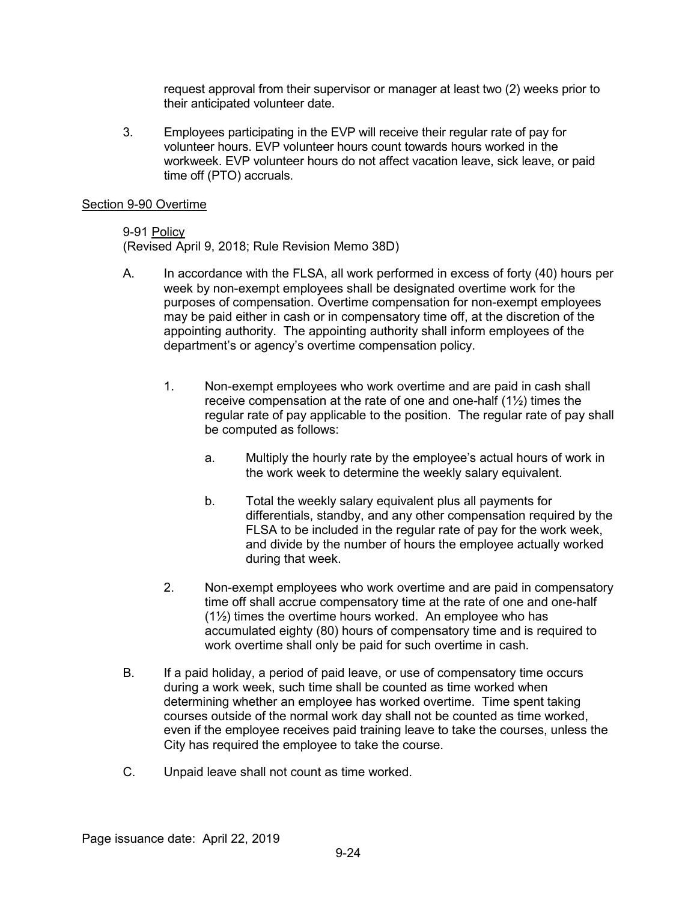request approval from their supervisor or manager at least two (2) weeks prior to their anticipated volunteer date.

3. Employees participating in the EVP will receive their regular rate of pay for volunteer hours. EVP volunteer hours count towards hours worked in the workweek. EVP volunteer hours do not affect vacation leave, sick leave, or paid time off (PTO) accruals.

#### Section 9-90 Overtime

#### 9-91 Policy

(Revised April 9, 2018; Rule Revision Memo 38D)

- A. In accordance with the FLSA, all work performed in excess of forty (40) hours per week by non-exempt employees shall be designated overtime work for the purposes of compensation. Overtime compensation for non-exempt employees may be paid either in cash or in compensatory time off, at the discretion of the appointing authority. The appointing authority shall inform employees of the department's or agency's overtime compensation policy.
	- 1. Non-exempt employees who work overtime and are paid in cash shall receive compensation at the rate of one and one-half (1½) times the regular rate of pay applicable to the position. The regular rate of pay shall be computed as follows:
		- a. Multiply the hourly rate by the employee's actual hours of work in the work week to determine the weekly salary equivalent.
		- b. Total the weekly salary equivalent plus all payments for differentials, standby, and any other compensation required by the FLSA to be included in the regular rate of pay for the work week, and divide by the number of hours the employee actually worked during that week.
	- 2. Non-exempt employees who work overtime and are paid in compensatory time off shall accrue compensatory time at the rate of one and one-half (1½) times the overtime hours worked. An employee who has accumulated eighty (80) hours of compensatory time and is required to work overtime shall only be paid for such overtime in cash.
- B. If a paid holiday, a period of paid leave, or use of compensatory time occurs during a work week, such time shall be counted as time worked when determining whether an employee has worked overtime. Time spent taking courses outside of the normal work day shall not be counted as time worked, even if the employee receives paid training leave to take the courses, unless the City has required the employee to take the course.
- C. Unpaid leave shall not count as time worked.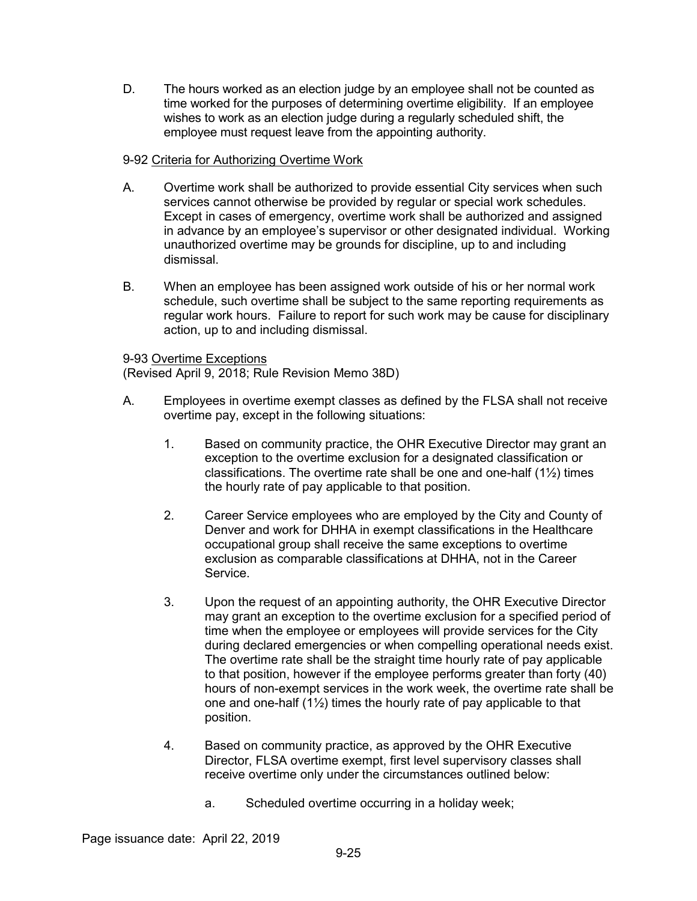D. The hours worked as an election judge by an employee shall not be counted as time worked for the purposes of determining overtime eligibility. If an employee wishes to work as an election judge during a regularly scheduled shift, the employee must request leave from the appointing authority.

# 9-92 Criteria for Authorizing Overtime Work

- A. Overtime work shall be authorized to provide essential City services when such services cannot otherwise be provided by regular or special work schedules. Except in cases of emergency, overtime work shall be authorized and assigned in advance by an employee's supervisor or other designated individual. Working unauthorized overtime may be grounds for discipline, up to and including dismissal.
- B. When an employee has been assigned work outside of his or her normal work schedule, such overtime shall be subject to the same reporting requirements as regular work hours. Failure to report for such work may be cause for disciplinary action, up to and including dismissal.

# 9-93 Overtime Exceptions

(Revised April 9, 2018; Rule Revision Memo 38D)

- A. Employees in overtime exempt classes as defined by the FLSA shall not receive overtime pay, except in the following situations:
	- 1. Based on community practice, the OHR Executive Director may grant an exception to the overtime exclusion for a designated classification or classifications. The overtime rate shall be one and one-half (1½) times the hourly rate of pay applicable to that position.
	- 2. Career Service employees who are employed by the City and County of Denver and work for DHHA in exempt classifications in the Healthcare occupational group shall receive the same exceptions to overtime exclusion as comparable classifications at DHHA, not in the Career Service.
	- 3. Upon the request of an appointing authority, the OHR Executive Director may grant an exception to the overtime exclusion for a specified period of time when the employee or employees will provide services for the City during declared emergencies or when compelling operational needs exist. The overtime rate shall be the straight time hourly rate of pay applicable to that position, however if the employee performs greater than forty (40) hours of non-exempt services in the work week, the overtime rate shall be one and one-half (1½) times the hourly rate of pay applicable to that position.
	- 4. Based on community practice, as approved by the OHR Executive Director, FLSA overtime exempt, first level supervisory classes shall receive overtime only under the circumstances outlined below:
		- a. Scheduled overtime occurring in a holiday week;